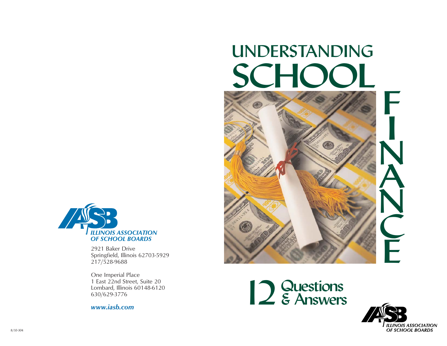# UNDERSTANDING SCHOOL





2921 Baker Drive Springfield, Illinois 62703-5929 217/528-9688

One Imperial Place 1 East 22nd Street, Suite 20 Lombard, Illinois 60148-6120 630/629-3776

*www.iasb.com*



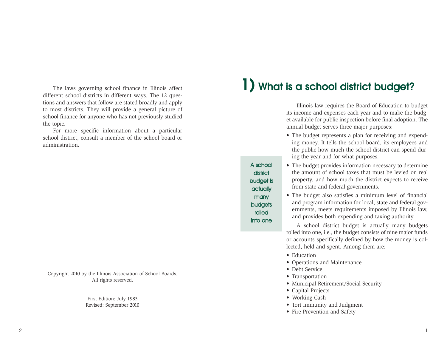The laws governing school finance in Illinois affect different school districts in different ways. The 12 questions and answers that follow are stated broadly and apply to most districts. They will provide a general picture of school finance for anyone who has not previously studied the topic.

For more specific information about a particular school district, consult a member of the school board or administration.

Copyright 2010 by the Illinois Association of School Boards. All rights reserved.

> First Edition: July 1983 Revised: September 2010

## **1) What is a school district budget?**

Illinois law requires the Board of Education to budget its income and expenses each year and to make the budget available for public inspection before final adoption. The annual budget serves three major purposes:

• The budget represents a plan for receiving and expending money. It tells the school board, its employees and the public how much the school district can spend during the year and for what purposes.

A school district budget is actually many budgets rolled into one

- The budget provides information necessary to determine the amount of school taxes that must be levied on real property, and how much the district expects to receive from state and federal governments.
- The budget also satisfies a minimum level of financial and program information for local, state and federal governments, meets requirements imposed by Illinois law, and provides both expending and taxing authority.

A school district budget is actually many budgets rolled into one, i.e., the budget consists of nine major funds or accounts specifically defined by how the money is collected, held and spent. Among them are:

- Education
- Operations and Maintenance
- Debt Service
- Transportation
- Municipal Retirement/Social Security
- Capital Projects
- Working Cash
- Tort Immunity and Judgment
- Fire Prevention and Safety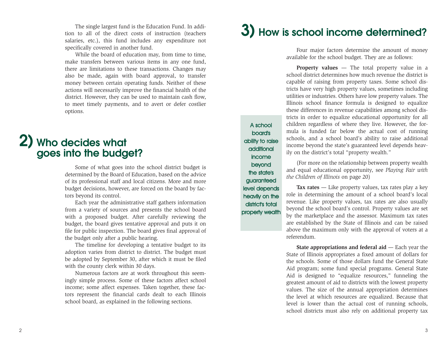The single largest fund is the Education Fund. In addition to all of the direct costs of instruction (teachers salaries, etc.), this fund includes any expenditure not specifically covered in another fund.

While the board of education may, from time to time, make transfers between various items in any one fund, there are limitations to these transactions. Changes may also be made, again with board approval, to transfer money between certain operating funds. Neither of these actions will necessarily improve the financial health of the district. However, they can be used to maintain cash flow, to meet timely payments, and to avert or defer costlier options.

## **2) Who decides what goes into the budget?**

Some of what goes into the school district budget is determined by the Board of Education, based on the advice of its professional staff and local citizens. More and more budget decisions, however, are forced on the board by factors beyond its control.

Each year the administrative staff gathers information from a variety of sources and presents the school board with a proposed budget. After carefully reviewing the budget, the board gives tentative approval and puts it on file for public inspection. The board gives final approval of the budget only after a public hearing.

The timeline for developing a tentative budget to its adoption varies from district to district. The budget must be adopted by September 30, after which it must be filed with the county clerk within 30 days.

Numerous factors are at work throughout this seemingly simple process. Some of these factors affect school income; some affect expenses. Taken together, these factors represent the financial cards dealt to each Illinois school board, as explained in the following sections.

# **3) How is school income determined?**

Four major factors determine the amount of money available for the school budget. They are as follows:

**Property values — The total property value in a** school district determines how much revenue the district is capable of raising from property taxes. Some school districts have very high property values, sometimes including utilities or industries. Others have low property values. The Illinois school finance formula is designed to equalize these differences in revenue capabilities among school districts in order to equalize educational opportunity for all children regardless of where they live. However, the formula is funded far below the actual cost of running schools, and a school board's ability to raise additional income beyond the state's guaranteed level depends heavily on the district's total "property wealth."

(For more on the relationship between property wealth and equal educational opportunity, see *Playing Fair with the Children of Illinois* on page 20)

**Tax rates** — Like property values, tax rates play a key role in determining the amount of a school board's local revenue. Like property values, tax rates are also usually beyond the school board's control. Property values are set by the marketplace and the assessor. Maximum tax rates are established by the State of Illinois and can be raised above the maximum only with the approval of voters at a referendum.

**State appropriations and federal aid — Each year the** State of Illinois appropriates a fixed amount of dollars for the schools. Some of those dollars fund the General State Aid program; some fund special programs. General State Aid is designed to "equalize resources," funneling the greatest amount of aid to districts with the lowest property values. The size of the annual appropriation determines the level at which resources are equalized. Because that level is lower than the actual cost of running schools, school districts must also rely on additional property tax

board's ability to raise additional income beyond the state's guaranteed level depends heavily on the district's total

property wealth

A school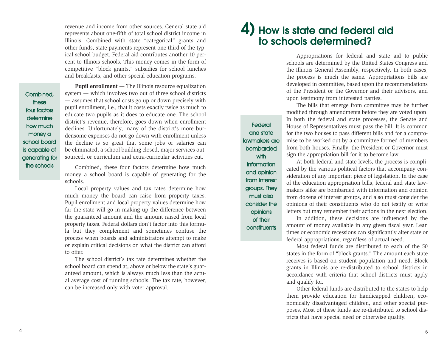revenue and income from other sources. General state aid represents about one-fifth of total school district income in Illinois. Combined with state "categorical" grants and other funds, state payments represent one-third of the typical school budget. Federal aid contributes another 10 percent to Illinois schools. This money comes in the form of competitive "block grants," subsidies for school lunches and breakfasts, and other special education programs.

Combined, these four factors determine how much money a school board is capable of generating for the schools

**Pupil enrollment** — The Illinois resource equalization system — which involves two out of three school districts — assumes that school costs go up or down precisely with pupil enrollment, i.e., that it costs exactly twice as much to educate two pupils as it does to educate one. The school district's revenue, therefore, goes down when enrollment declines. Unfortunately, many of the district's more burdensome expenses do not go down with enrollment unless the decline is so great that some jobs or salaries can be eliminated, a school building closed, major services outsourced, or curriculum and extra-curricular activities cut.

Combined, these four factors determine how much money a school board is capable of generating for the schools.

Local property values and tax rates determine how much money the board can raise from property taxes. Pupil enrollment and local property values determine how far the state will go in making up the difference between the guaranteed amount and the amount raised from local property taxes. Federal dollars don't factor into this formula but they complement and sometimes confuse the process when boards and administrators attempt to make or explain critical decisions on what the district can afford to offer.

The school district's tax rate determines whether the school board can spend at, above or below the state's guaranteed amount, which is always much less than the actual average cost of running schools. The tax rate, however, can be increased only with voter approval.

#### **4) How is state and federal aid to schools determined?**

Appropriations for federal and state aid to public schools are determined by the United States Congress and the Illinois General Assembly, respectively. In both cases, the process is much the same. Appropriations bills are developed in committee, based upon the recommendations of the President or the Governor and their advisors, and upon testimony from interested parties.

The bills that emerge from committee may be further modified through amendments before they are voted upon. In both the federal and state processes, the Senate and House of Representatives must pass the bill. It is common for the two houses to pass different bills and for a compromise to be worked out by a committee formed of members from both houses. Finally, the President or Governor must sign the appropriation bill for it to become law.

At both federal and state levels, the process is complicated by the various political factors that accompany consideration of any important piece of legislation. In the case of the education appropriation bills, federal and state lawmakers alike are bombarded with information and opinion from dozens of interest groups, and also must consider the opinions of their constituents who do not testify or write letters but may remember their actions in the next election.

In addition, these decisions are influenced by the amount of money available in any given fiscal year. Lean times or economic recessions can significantly alter state or federal appropriations, regardless of actual need.

Most federal funds are distributed to each of the 50 states in the form of "block grants." The amount each state receives is based on student population and need. Block grants in Illinois are re-distributed to school districts in accordance with criteria that school districts must apply and qualify for.

Other federal funds are distributed to the states to help them provide education for handicapped children, economically disadvantaged children, and other special purposes. Most of these funds are re-distributed to school districts that have special need or otherwise qualify.

and state lawmakers are bombarded with **with information** and opinion from interest groups. They must also consider the opinions of their **constituents** 

**Federal**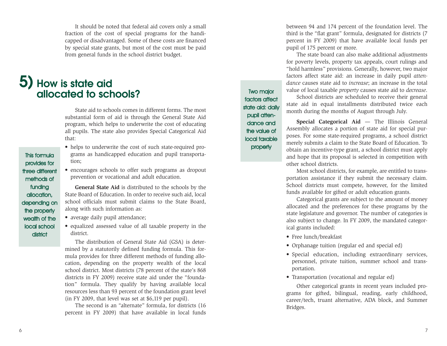It should be noted that federal aid covers only a small fraction of the cost of special programs for the handicapped or disadvantaged. Some of these costs are financed by special state grants, but most of the cost must be paid from general funds in the school district budget.

#### **5) How is state aid allocated to schools?**

State aid to schools comes in different forms. The most substantial form of aid is through the General State Aid program, which helps to underwrite the cost of educating all pupils. The state also provides Special Categorical Aid that:

- helps to underwrite the cost of such state-required programs as handicapped education and pupil transportation;
- encourages schools to offer such programs as dropout prevention or vocational and adult education.

**General State Aid** is distributed to the schools by the State Board of Education. In order to receive such aid, local school officials must submit claims to the State Board, along with such information as:

- average daily pupil attendance;
- equalized assessed value of all taxable property in the district.

The distribution of General State Aid (GSA) is determined by a statutorily defined funding formula. This formula provides for three different methods of funding allocation, depending on the property wealth of the local school district. Most districts (78 percent of the state's 868 districts in FY 2009) receive state aid under the "foundation" formula. They qualify by having available local resources less than 93 percent of the foundation grant level (in FY 2009, that level was set at \$6,119 per pupil).

The second is an "alternate" formula, for districts (16 percent in FY 2009) that have available in local funds between 94 and 174 percent of the foundation level. The third is the "flat grant" formula, designated for districts (7 percent in FY 2009) that have available local funds per pupil of 175 percent or more.

The state board can also make additional adjustments for poverty levels, property tax appeals, court rulings and "hold harmless" provisions. Generally, however, two major factors affect state aid: an increase in daily pupil *attendance* causes state aid to *increase*; an increase in the total value of local taxable *property* causes state aid to *decrease*.

School districts are scheduled to receive their general state aid in equal installments distributed twice each month during the months of August through July.

**Special Categorical Aid** — The Illinois General Assembly allocates a portion of state aid for special purposes. For some state-required programs, a school district merely submits a claim to the State Board of Education. To obtain an incentive-type grant, a school district must apply and hope that its proposal is selected in competition with other school districts.

Most school districts, for example, are entitled to transportation assistance if they submit the necessary claim. School districts must compete, however, for the limited funds available for gifted or adult education grants.

Categorical grants are subject to the amount of money allocated and the preferences for these programs by the state legislature and governor. The number of categories is also subject to change. In FY 2009, the mandated categorical grants included:

• Free lunch/breakfast

Two major factors affect state aid: daily pupil attendance and the value of local taxable property

- Orphanage tuition (regular ed and special ed)
- Special education, including extraordinary services, personnel, private tuition, summer school and transportation.
- Transportation (vocational and regular ed)

Other categorical grants in recent years included programs for gifted, bilingual, reading, early childhood, career/tech, truant alternative, ADA block, and Summer Bridges.

provides for three different methods of funding allocation, depending on the property wealth of the local school **district** 

This formula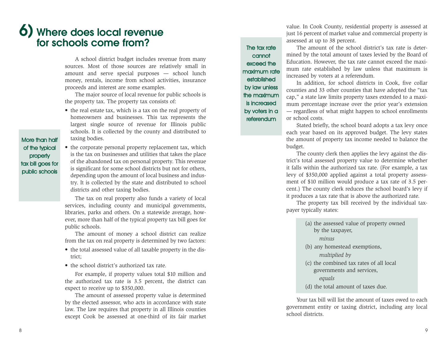## **6) Where does local revenue for schools come from?**

A school district budget includes revenue from many sources. Most of those sources are relatively small in amount and serve special purposes — school lunch money, rentals, income from school activities, insurance proceeds and interest are some examples.

The major source of local revenue for public schools is the property tax. The property tax consists of:

• the real estate tax, which is a tax on the real property of homeowners and businesses. This tax represents the largest single source of revenue for Illinois public schools. It is collected by the county and distributed to taxing bodies.

More than half of the typical property tax bill goes for public schools

• the corporate personal property replacement tax, which is the tax on businesses and utilities that takes the place of the abandoned tax on personal property. This revenue is significant for some school districts but not for others, depending upon the amount of local business and industry. It is collected by the state and distributed to school districts and other taxing bodies.

The tax on real property also funds a variety of local services, including county and municipal governments, libraries, parks and others. On a statewide average, however, more than half of the typical property tax bill goes for public schools.

The amount of money a school district can realize from the tax on real property is determined by two factors:

- the total assessed value of all taxable property in the district;
- the school district's authorized tax rate.

For example, if property values total \$10 million and the authorized tax rate is 3.5 percent, the district can expect to receive up to \$350,000.

The amount of assessed property value is determined by the elected assessor, who acts in accordance with state law. The law requires that property in all Illinois counties except Cook be assessed at one-third of its fair market

value. In Cook County, residential property is assessed at just 16 percent of market value and commercial property is assessed at up to 38 percent.

#### The tax rate cannot exceed the maximum rate established by law unless the maximum is increased by voters in a referendum

The amount of the school district's tax rate is determined by the total amount of taxes levied by the Board of Education. However, the tax rate cannot exceed the maximum rate established by law unless that maximum is increased by voters at a referendum.

In addition, for school districts in Cook, five collar counties and 33 other counties that have adopted the "tax cap," a state law limits property taxes extended to a maximum percentage increase over the prior year's extension — regardless of what might happen to school enrollments or school costs.

Stated briefly, the school board adopts a tax levy once each year based on its approved budget. The levy states the amount of property tax income needed to balance the budget.

The county clerk then applies the levy against the district's total assessed property value to determine whether it falls within the authorized tax rate. (For example, a tax levy of \$350,000 applied against a total property assessment of \$10 million would produce a tax rate of 3.5 percent.) The county clerk reduces the school board's levy if it produces a tax rate that is above the authorized rate.

The property tax bill received by the individual taxpayer typically states:

(a) the assessed value of property owned by the taxpayer, *minus* (b) any homestead exemptions, *multiplied by* (c) the combined tax rates of all local governments and services, *equals* (d) the total amount of taxes due.

Your tax bill will list the amount of taxes owed to each government entity or taxing district, including any local school districts.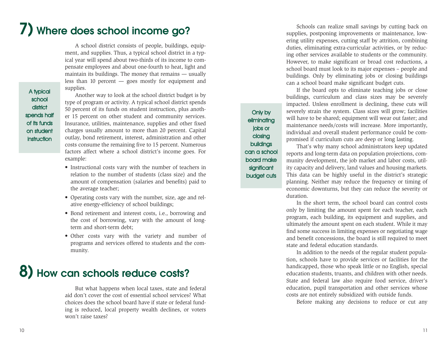# **7) Where does school income go?**

A school district consists of people, buildings, equipment, and supplies. Thus, a typical school district in a typical year will spend about two-thirds of its income to compensate employees and about one-fourth to heat, light and maintain its buildings. The money that remains — usually less than 10 percent — goes mostly for equipment and supplies.

A typical school **district** spends half of its funds on student instruction

Another way to look at the school district budget is by type of program or activity. A typical school district spends 50 percent of its funds on student instruction, plus another 15 percent on other student and community services. Insurance, utilities, maintenance, supplies and other fixed charges usually amount to more than 20 percent. Capital outlay, bond retirement, interest, administration and other costs consume the remaining five to 15 percent. Numerous factors affect where a school district's income goes. For example:

- Instructional costs vary with the number of teachers in relation to the number of students (class size) and the amount of compensation (salaries and benefits) paid to the average teacher;
- Operating costs vary with the number, size, age and relative energy-efficiency of school buildings;
- Bond retirement and interest costs, i.e., borrowing and the cost of borrowing, vary with the amount of longterm and short-term debt;
- Other costs vary with the variety and number of programs and services offered to students and the community.

# **8) How can schools reduce costs?**

But what happens when local taxes, state and federal aid don't cover the cost of essential school services? What choices does the school board have if state or federal funding is reduced, local property wealth declines, or voters won't raise taxes?

Schools can realize small savings by cutting back on supplies, postponing improvements or maintenance, lowering utility expenses, cutting staff by attrition, combining duties, eliminating extra-curricular activities, or by reducing other services available to students or the community. However, to make significant or broad cost reductions, a school board must look to its major expenses – people and buildings. Only by eliminating jobs or closing buildings can a school board make significant budget cuts.

If the board opts to eliminate teaching jobs or close buildings, curriculum and class sizes may be severely impacted. Unless enrollment is declining, these cuts will severely strain the system. Class sizes will grow; facilities will have to be shared; equipment will wear out faster; and maintenance needs/costs will increase. More importantly, individual and overall student performance could be compromised if curriculum cuts are deep or long lasting.

Only by eliminating jobs or closing buildings can a school board make significant budget cuts

That's why many school administrators keep updated reports and long-term data on population projections, community development, the job market and labor costs, utility capacity and delivery, land values and housing markets. This data can be highly useful in the district's strategic planning. Neither may reduce the frequency or timing of economic downturns, but they can reduce the severity or duration.

In the short term, the school board can control costs only by limiting the amount spent for each teacher, each program, each building, its equipment and supplies, and ultimately the amount spent on each student. While it may find some success in limiting expenses or negotiating wage and benefit concessions, the board is still required to meet state and federal education standards.

In addition to the needs of the regular student population, schools have to provide services or facilities for the handicapped, those who speak little or no English, special education students, truants, and children with other needs. State and federal law also require food service, driver's education, pupil transportation and other services whose costs are not entirely subsidized with outside funds.

Before making any decisions to reduce or cut any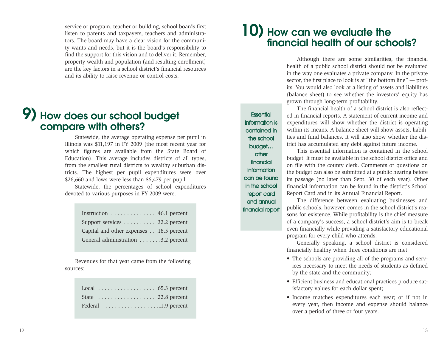service or program, teacher or building, school boards first listen to parents and taxpayers, teachers and administrators. The board may have a clear vision for the community wants and needs, but it is the board's responsibility to find the support for this vision and to deliver it. Remember, property wealth and population (and resulting enrollment) are the key factors in a school district's financial resources and its ability to raise revenue or control costs.

#### **9) How does our school budget compare with others?**

Statewide, the average operating expense per pupil in Illinois was \$11,197 in FY 2009 (the most recent year for which figures are available from the State Board of Education). This average includes districts of all types, from the smallest rural districts to wealthy suburban districts. The highest per pupil expenditures were over \$26,660 and lows were less than \$6,479 per pupil.

Statewide, the percentages of school expenditures devoted to various purposes in FY 2009 were:

| Instruction $\dots \dots \dots \dots \dots 46.1$ percent |  |
|----------------------------------------------------------|--|
| Support services $\ldots \ldots \ldots 32.2$ percent     |  |
| Capital and other expenses 18.5 percent                  |  |
| General administration 3.2 percent                       |  |
|                                                          |  |

Revenues for that year came from the following sources:

|  |  |  |  |  |  |  |  |  |  | Local $\ldots \ldots \ldots \ldots \ldots \ldots \ldots$ .65.3 percent |
|--|--|--|--|--|--|--|--|--|--|------------------------------------------------------------------------|
|  |  |  |  |  |  |  |  |  |  | State $\dots \dots \dots \dots \dots \dots \dots 22.8$ percent         |
|  |  |  |  |  |  |  |  |  |  | Federal 11.9 percent                                                   |

## **10) How can we evaluate the financial health of our schools?**

Although there are some similarities, the financial health of a public school district should not be evaluated in the way one evaluates a private company. In the private sector, the first place to look is at "the bottom line" — profits. You would also look at a listing of assets and liabilities (balance sheet) to see whether the investors' equity has grown through long-term profitability.

**Essential** information is contained in the school budget… other financial information can be found in the school report card and annual financial report

The financial health of a school district is also reflected in financial reports. A statement of current income and expenditures will show whether the district is operating within its means. A balance sheet will show assets, liabilities and fund balances. It will also show whether the district has accumulated any debt against future income.

This essential information is contained in the school budget. It must be available in the school district office and on file with the county clerk. Comments or questions on the budget can also be submitted at a public hearing before its passage (no later than Sept. 30 of each year). Other financial information can be found in the district's School Report Card and in its Annual Financial Report.

The difference between evaluating businesses and public schools, however, comes in the school district's reasons for existence. While profitability is the chief measure of a company's success, a school district's aim is to break even financially while providing a satisfactory educational program for every child who attends.

Generally speaking, a school district is considered financially healthy when three conditions are met:

- The schools are providing all of the programs and services necessary to meet the needs of students as defined by the state and the community;
- Efficient business and educational practices produce satisfactory values for each dollar spent;
- Income matches expenditures each year; or if not in every year, then income and expense should balance over a period of three or four years.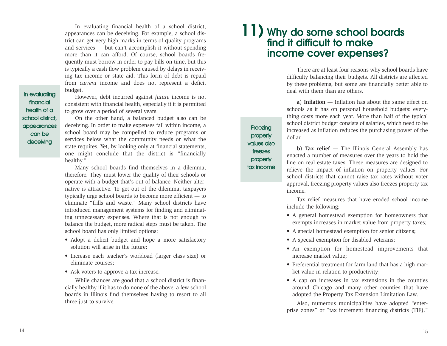In evaluating financial health of a school district, appearances can be deceiving. For example, a school district can get very high marks in terms of quality programs and services — but can't accomplish it without spending more than it can afford. Of course, school boards frequently must borrow in order to pay bills on time, but this is typically a cash flow problem caused by delays in receiving tax income or state aid. This form of debt is repaid from *current* income and does not represent a deficit budget.

#### In evaluating financial health of a school district, appearances can be

deceiving

However, debt incurred against *future* income is not consistent with financial health, especially if it is permitted to grow over a period of several years.

On the other hand, a balanced budget also can be deceiving. In order to make expenses fall within income, a school board may be compelled to reduce programs or services below what the community needs or what the state requires. Yet, by looking only at financial statements, one might conclude that the district is "financially healthy."

Many school boards find themselves in a dilemma, therefore. They must lower the quality of their schools or operate with a budget that's out of balance. Neither alternative is attractive. To get out of the dilemma, taxpayers typically urge school boards to become more efficient — to eliminate "frills and waste." Many school districts have introduced management systems for finding and eliminating unnecessary expenses. Where that is not enough to balance the budget, more radical steps must be taken. The school board has only limited options:

- Adopt a deficit budget and hope a more satisfactory solution will arise in the future;
- Increase each teacher's workload (larger class size) or eliminate courses;
- Ask voters to approve a tax increase.

While chances are good that a school district is financially healthy if it has to do none of the above, a few school boards in Illinois find themselves having to resort to all three just to survive.

#### **11) Why do some school boards find it difficult to make income cover expenses?**

**Freezing property** values also freezes property tax income

There are at least four reasons why school boards have difficulty balancing their budgets. All districts are affected by these problems, but some are financially better able to deal with them than are others.

**a) Inflation** — Inflation has about the same effect on schools as it has on personal household budgets: everything costs more each year. More than half of the typical school district budget consists of salaries, which need to be increased as inflation reduces the purchasing power of the dollar.

**b) Tax relief** — The Illinois General Assembly has enacted a number of measures over the years to hold the line on real estate taxes. These measures are designed to relieve the impact of inflation on property values. For school districts that cannot raise tax rates without voter approval, freezing property values also freezes property tax income.

Tax relief measures that have eroded school income include the following:

- A general homestead exemption for homeowners that exempts increases in market value from property taxes;
- A special homestead exemption for senior citizens;
- A special exemption for disabled veterans;
- An exemption for homestead improvements that increase market value;
- Preferential treatment for farm land that has a high market value in relation to productivity;
- A cap on increases in tax extensions in the counties around Chicago and many other counties that have adopted the Property Tax Extension Limitation Law.

Also, numerous municipalities have adopted "enterprise zones" or "tax increment financing districts (TIF)."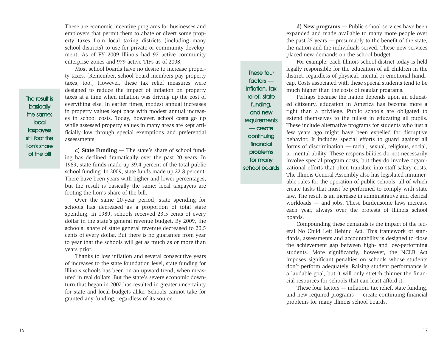These are economic incentive programs for businesses and employers that permit them to abate or divert some property taxes from local taxing districts (including many school districts) to use for private or community development. As of FY 2009 Illinois had 97 active community enterprise zones and 979 active TIFs as of 2008.

Most school boards have no desire to increase property taxes. (Remember, school board members pay property taxes, too.) However, these tax relief measures were designed to reduce the impact of inflation on property taxes at a time when inflation was driving up the cost of everything else. In earlier times, modest annual increases in property values kept pace with modest annual increases in school costs. Today, however, school costs go up while assessed property values in many areas are kept artificially low through special exemptions and preferential assessments.

**c) State Funding** — The state's share of school funding has declined dramatically over the past 20 years. In 1989, state funds made up 39.4 percent of the total public school funding. In 2009, state funds made up 22.8 percent. There have been years with higher and lower percentages, but the result is basically the same: local taxpayers are footing the lion's share of the bill.

Over the same 20-year period, state spending for schools has decreased as a proportion of total state spending. In 1989, schools received 23.5 cents of every dollar in the state's general revenue budget. By 2009, the schools' share of state general revenue decreased to 20.5 cents of every dollar. But there is no guarantee from year to year that the schools will get as much as or more than years prior.

Thanks to low inflation and several consecutive years of increases to the state foundation level, state funding for Illinois schools has been on an upward trend, when measured in real dollars. But the state's severe economic downturn that began in 2007 has resulted in greater uncertainty for state and local budgets alike. Schools cannot take for granted any funding, regardless of its source.

These four factors inflation, tax relief, state funding, and new requirements — create continuing financial problems for many school boards

**d) New programs** — Public school services have been expanded and made available to many more people over the past 25 years — presumably to the benefit of the state, the nation and the individuals served. These new services placed new demands on the school budget.

For example: each Illinois school district today is held legally responsible for the education of all children in the district, regardless of physical, mental or emotional handicap. Costs associated with these special students tend to be much higher than the costs of regular programs.

Perhaps because the nation depends upon an educated citizenry, education in America has become more a right than a privilege. Public schools are obligated to extend themselves to the fullest in educating all pupils. These include alternative programs for students who just a few years ago might have been expelled for disruptive behavior. It includes special efforts to guard against all forms of discrimination — racial, sexual, religious, social, or mental ability. These responsibilities do not necessarily involve special program costs, but they do involve organizational efforts that often translate into staff salary costs. The Illinois General Assembly also has legislated innumerable rules for the operation of public schools, all of which create tasks that must be performed to comply with state law. The result is an increase in administrative and clerical workloads — and jobs. These burdensome laws increase each year, always over the protests of Illinois school boards.

Compounding these demands is the impact of the federal No Child Left Behind Act. This framework of standards, assessments and accountability is designed to close the achievement gap between high- and low-performing students. More significantly, however, the NCLB Act imposes significant penalties on schools whose students don't perform adequately. Raising student performance is a laudable goal, but it will only stretch thinner the financial resources for schools that can least afford it.

These four factors — inflation, tax relief, state funding, and new required programs — create continuing financial problems for many Illinois school boards.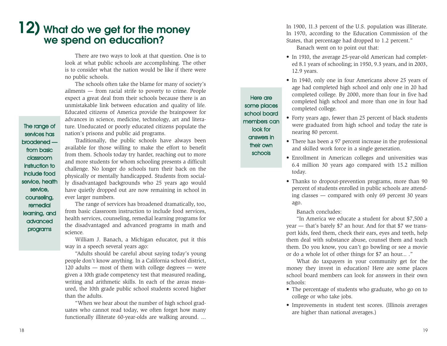## **12) What do we get for the money we spend on education?**

There are two ways to look at that question. One is to look at what public schools are accomplishing. The other is to consider what the nation would be like if there were no public schools.

The schools often take the blame for many of society's ailments — from racial strife to poverty to crime. People expect a great deal from their schools because there is an unmistakable link between education and quality of life. Educated citizens of America provide the brainpower for advances in science, medicine, technology, art and literature. Uneducated or poorly educated citizens populate the nation's prisons and public aid programs.

The range of services has broadened from basic classroom instruction to include food service, health service, counseling, remedial learning, and advanced programs

Traditionally, the public schools have always been available for those willing to make the effort to benefit from them. Schools today try harder, reaching out to more and more students for whom schooling presents a difficult challenge. No longer do schools turn their back on the physically or mentally handicapped. Students from socially disadvantaged backgrounds who 25 years ago would have quietly dropped out are now remaining in school in ever larger numbers.

The range of services has broadened dramatically, too, from basic classroom instruction to include food services, health services, counseling, remedial learning programs for the disadvantaged and advanced programs in math and science.

William J. Banach, a Michigan educator, put it this way in a speech several years ago:

"Adults should be careful about saying today's young people don't know anything. In a California school district, 120 adults — most of them with college degrees — were given a 10th grade competency test that measured reading, writing and arithmetic skills. In each of the areas measured, the 10th grade public school students scored higher than the adults.

"When we hear about the number of high school graduates who cannot read today, we often forget how many functionally illiterate 60-year-olds are walking around. ... In 1900, 11.3 percent of the U.S. population was illiterate. In 1970, according to the Education Commission of the States, that percentage had dropped to 1.2 percent."

Banach went on to point out that:

- In 1910, the average 25-year-old American had completed 8.1 years of schooling; in 1950, 9.3 years, and in 2003, 12.9 years.
- In 1940, only one in four Americans above 25 years of age had completed high school and only one in 20 had completed college. By 2000, more than four in five had completed high school and more than one in four had completed college.
- Forty years ago, fewer than 25 percent of black students were graduated from high school and today the rate is nearing 80 percent.
- There has been a 97 percent increase in the professional and skilled work force in a single generation.
- Enrollment in American colleges and universities was 6.4 million 30 years ago compared with 15.2 million today.
- Thanks to dropout-prevention programs, more than 90 percent of students enrolled in public schools are attending classes — compared with only 69 percent 30 years ago.

#### Banach concludes:

Here are some places school board members can look for answers in their own schools

> "In America we educate a student for about \$7,500 a year — that's barely \$7 an hour. And for that \$7 we transport kids, feed them, check their ears, eyes and teeth, help them deal with substance abuse, counsel them and teach them. Do you know, you can't go bowling or see a movie or do a whole lot of other things for \$7 an hour... ."

> What do taxpayers in your community get for the money they invest in education? Here are some places school board members can look for answers in their own schools:

- The percentage of students who graduate, who go on to college or who take jobs.
- Improvements in student test scores. (Illinois averages are higher than national averages.)